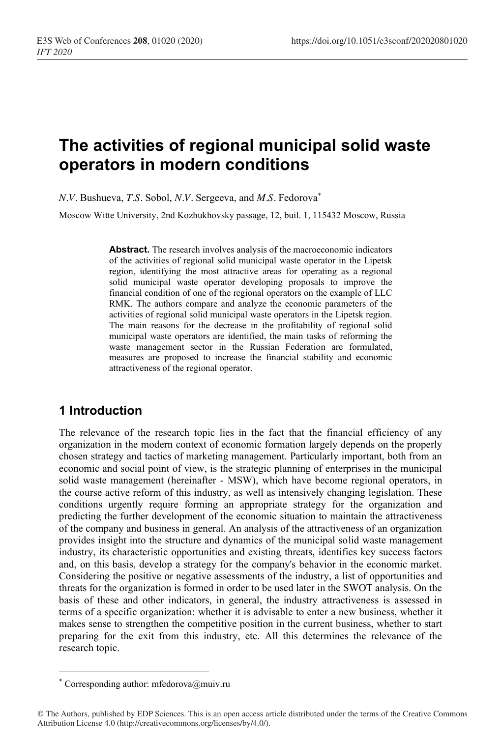# **The activities of regional municipal solid waste operators in modern conditions**

*N.V.* Bushueva, *T.S.* Sobol, *N.V.* Sergeeva, and *M.S.* Fedorova\*

Moscow Witte University, 2nd Kozhukhovsky passage, 12, buil. 1, 115432 Moscow, Russia

**Abstract.** The research involves analysis of the macroeconomic indicators of the activities of regional solid municipal waste operator in the Lipetsk region, identifying the most attractive areas for operating as a regional solid municipal waste operator developing proposals to improve the financial condition of one of the regional operators on the example of LLC RMK. The authors compare and analyze the economic parameters of the activities of regional solid municipal waste operators in the Lipetsk region. The main reasons for the decrease in the profitability of regional solid municipal waste operators are identified, the main tasks of reforming the waste management sector in the Russian Federation are formulated, measures are proposed to increase the financial stability and economic attractiveness of the regional operator.

# **1 Introduction**

The relevance of the research topic lies in the fact that the financial efficiency of any organization in the modern context of economic formation largely depends on the properly chosen strategy and tactics of marketing management. Particularly important, both from an economic and social point of view, is the strategic planning of enterprises in the municipal solid waste management (hereinafter - MSW), which have become regional operators, in the course active reform of this industry, as well as intensively changing legislation. These conditions urgently require forming an appropriate strategy for the organization and predicting the further development of the economic situation to maintain the attractiveness of the company and business in general. An analysis of the attractiveness of an organization provides insight into the structure and dynamics of the municipal solid waste management industry, its characteristic opportunities and existing threats, identifies key success factors and, on this basis, develop a strategy for the company's behavior in the economic market. Considering the positive or negative assessments of the industry, a list of opportunities and threats for the organization is formed in order to be used later in the SWOT analysis. On the basis of these and other indicators, in general, the industry attractiveness is assessed in terms of a specific organization: whether it is advisable to enter a new business, whether it makes sense to strengthen the competitive position in the current business, whether to start preparing for the exit from this industry, etc. All this determines the relevance of the research topic.

<sup>\*</sup> Corresponding author: mfedorova@muiv.ru

<sup>©</sup> The Authors, published by EDP Sciences. This is an open access article distributed under the terms of the Creative Commons Attribution License 4.0 (http://creativecommons.org/licenses/by/4.0/).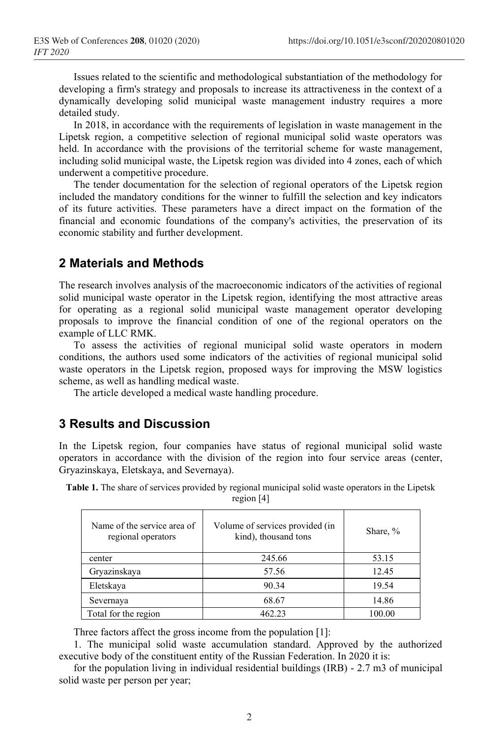Issues related to the scientific and methodological substantiation of the methodology for developing a firm's strategy and proposals to increase its attractiveness in the context of a dynamically developing solid municipal waste management industry requires a more detailed study.

In 2018, in accordance with the requirements of legislation in waste management in the Lipetsk region, a competitive selection of regional municipal solid waste operators was held. In accordance with the provisions of the territorial scheme for waste management, including solid municipal waste, the Lipetsk region was divided into 4 zones, each of which underwent a competitive procedure.

The tender documentation for the selection of regional operators of the Lipetsk region included the mandatory conditions for the winner to fulfill the selection and key indicators of its future activities. These parameters have a direct impact on the formation of the financial and economic foundations of the company's activities, the preservation of its economic stability and further development.

## **2 Materials and Methods**

The research involves analysis of the macroeconomic indicators of the activities of regional solid municipal waste operator in the Lipetsk region, identifying the most attractive areas for operating as a regional solid municipal waste management operator developing proposals to improve the financial condition of one of the regional operators on the example of LLC RMK.

To assess the activities of regional municipal solid waste operators in modern conditions, the authors used some indicators of the activities of regional municipal solid waste operators in the Lipetsk region, proposed ways for improving the MSW logistics scheme, as well as handling medical waste.

The article developed a medical waste handling procedure.

#### **3 Results and Discussion**

In the Lipetsk region, four companies have status of regional municipal solid waste operators in accordance with the division of the region into four service areas (center, Gryazinskaya, Eletskaya, and Severnaya).

| Name of the service area of<br>regional operators | Volume of services provided (in<br>kind), thousand tons | Share, % |
|---------------------------------------------------|---------------------------------------------------------|----------|
| center                                            | 245.66                                                  | 53.15    |
| Gryazinskaya                                      | 57.56                                                   | 12.45    |
| Eletskaya                                         | 90.34                                                   | 19.54    |
| Severnaya                                         | 68.67                                                   | 14.86    |
| Total for the region                              | 462.23                                                  | 100.00   |

**Table 1.** The share of services provided by regional municipal solid waste operators in the Lipetsk region [4]

Three factors affect the gross income from the population [1]:

1. The municipal solid waste accumulation standard. Approved by the authorized executive body of the constituent entity of the Russian Federation. In 2020 it is:

for the population living in individual residential buildings (IRB) - 2.7 m3 of municipal solid waste per person per year;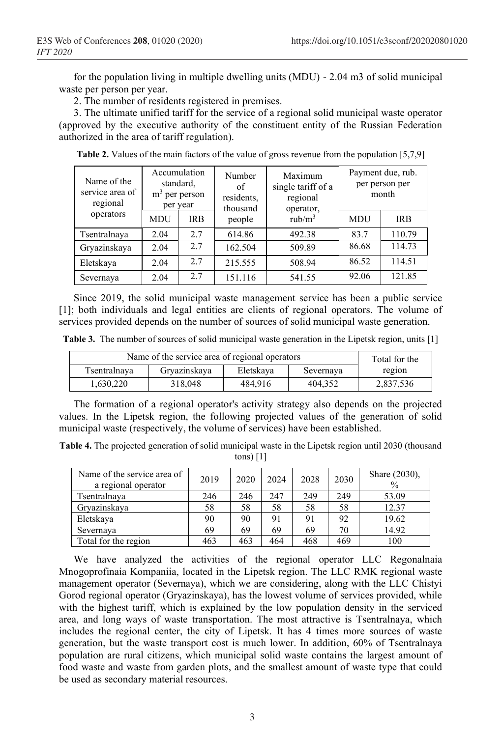for the population living in multiple dwelling units (MDU) - 2.04 m3 of solid municipal waste per person per year.

2. The number of residents registered in premises.

3. The ultimate unified tariff for the service of a regional solid municipal waste operator (approved by the executive authority of the constituent entity of the Russian Federation authorized in the area of tariff regulation).

| Name of the<br>service area of<br>regional | Accumulation<br>standard,<br>$m3$ per person<br>per year |            | Number<br>of<br>residents,<br>thousand | Maximum<br>single tariff of a<br>regional<br>operator, | Payment due, rub.<br>per person per<br>month |            |
|--------------------------------------------|----------------------------------------------------------|------------|----------------------------------------|--------------------------------------------------------|----------------------------------------------|------------|
| operators                                  | <b>MDU</b>                                               | <b>IRB</b> | people                                 | rub/m <sup>3</sup>                                     | <b>MDU</b>                                   | <b>IRB</b> |
| Tsentralnaya                               | 2.04                                                     | 2.7        | 614.86                                 | 492.38                                                 | 83.7                                         | 110.79     |
| Gryazinskaya                               | 2.04                                                     | 2.7        | 162.504                                | 509.89                                                 | 86.68                                        | 114.73     |
| Eletskaya                                  | 2.04                                                     | 2.7        | 215.555                                | 508.94                                                 | 86.52                                        | 114.51     |
| Severnaya                                  | 2.04                                                     | 2.7        | 151.116                                | 541.55                                                 | 92.06                                        | 121.85     |

**Table 2.** Values of the main factors of the value of gross revenue from the population [5,7,9]

Since 2019, the solid municipal waste management service has been a public service [1]; both individuals and legal entities are clients of regional operators. The volume of services provided depends on the number of sources of solid municipal waste generation.

**Table 3.** The number of sources of solid municipal waste generation in the Lipetsk region, units [1]

| Name of the service area of regional operators | Total for the |           |           |           |
|------------------------------------------------|---------------|-----------|-----------|-----------|
| Tsentralnava                                   | Gryazinskaya  | Eletskaya | Severnaya | region    |
| 1,630,220                                      | 318,048       | 484.916   | 404.352   | 2,837,536 |

The formation of a regional operator's activity strategy also depends on the projected values. In the Lipetsk region, the following projected values of the generation of solid municipal waste (respectively, the volume of services) have been established.

**Table 4.** The projected generation of solid municipal waste in the Lipetsk region until 2030 (thousand tons)  $[1]$ 

| Name of the service area of<br>a regional operator | 2019 | 2020 | 2024 | 2028 | 2030 | Share (2030),<br>$\frac{0}{0}$ |
|----------------------------------------------------|------|------|------|------|------|--------------------------------|
| Tsentralnava                                       | 246  | 246  | 247  | 249  | 249  | 53.09                          |
| Gryazinskaya                                       | 58   | 58   | 58   | 58   | 58   | 12.37                          |
| Eletskava                                          | 90   | 90   | 91   | 91   | 92   | 19.62                          |
| Severnaya                                          | 69   | 69   | 69   | 69   | 70   | 14.92                          |
| Total for the region                               | 463  | 463  | 464  | 468  | 469  | 100                            |

We have analyzed the activities of the regional operator LLC Regonalnaia Mnogoprofinaia Kompaniia, located in the Lipetsk region. The LLC RMK regional waste management operator (Severnaya), which we are considering, along with the LLC Chistyi Gorod regional operator (Gryazinskaya), has the lowest volume of services provided, while with the highest tariff, which is explained by the low population density in the serviced area, and long ways of waste transportation. The most attractive is Tsentralnaya, which includes the regional center, the city of Lipetsk. It has 4 times more sources of waste generation, but the waste transport cost is much lower. In addition, 60% of Tsentralnaya population are rural citizens, which municipal solid waste contains the largest amount of food waste and waste from garden plots, and the smallest amount of waste type that could be used as secondary material resources.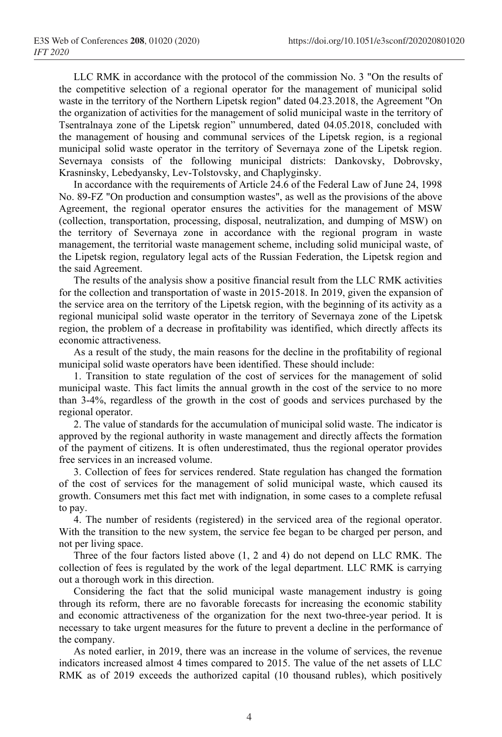LLC RMK in accordance with the protocol of the commission No. 3 "On the results of the competitive selection of a regional operator for the management of municipal solid waste in the territory of the Northern Lipetsk region" dated 04.23.2018, the Agreement "On the organization of activities for the management of solid municipal waste in the territory of Tsentralnaya zone of the Lipetsk region" unnumbered, dated 04.05.2018, concluded with the management of housing and communal services of the Lipetsk region, is a regional municipal solid waste operator in the territory of Severnaya zone of the Lipetsk region. Severnaya consists of the following municipal districts: Dankovsky, Dobrovsky, Krasninsky, Lebedyansky, Lev-Tolstovsky, and Chaplyginsky.

In accordance with the requirements of Article 24.6 of the Federal Law of June 24, 1998 No. 89-FZ "On production and consumption wastes", as well as the provisions of the above Agreement, the regional operator ensures the activities for the management of MSW (collection, transportation, processing, disposal, neutralization, and dumping of MSW) on the territory of Severnaya zone in accordance with the regional program in waste management, the territorial waste management scheme, including solid municipal waste, of the Lipetsk region, regulatory legal acts of the Russian Federation, the Lipetsk region and the said Agreement.

The results of the analysis show a positive financial result from the LLC RMK activities for the collection and transportation of waste in 2015-2018. In 2019, given the expansion of the service area on the territory of the Lipetsk region, with the beginning of its activity as a regional municipal solid waste operator in the territory of Severnaya zone of the Lipetsk region, the problem of a decrease in profitability was identified, which directly affects its economic attractiveness.

As a result of the study, the main reasons for the decline in the profitability of regional municipal solid waste operators have been identified. These should include:

1. Transition to state regulation of the cost of services for the management of solid municipal waste. This fact limits the annual growth in the cost of the service to no more than 3-4%, regardless of the growth in the cost of goods and services purchased by the regional operator.

2. The value of standards for the accumulation of municipal solid waste. The indicator is approved by the regional authority in waste management and directly affects the formation of the payment of citizens. It is often underestimated, thus the regional operator provides free services in an increased volume.

3. Collection of fees for services rendered. State regulation has changed the formation of the cost of services for the management of solid municipal waste, which caused its growth. Consumers met this fact met with indignation, in some cases to a complete refusal to pay.

4. The number of residents (registered) in the serviced area of the regional operator. With the transition to the new system, the service fee began to be charged per person, and not per living space.

Three of the four factors listed above (1, 2 and 4) do not depend on LLC RMK. The collection of fees is regulated by the work of the legal department. LLC RMK is carrying out a thorough work in this direction.

Considering the fact that the solid municipal waste management industry is going through its reform, there are no favorable forecasts for increasing the economic stability and economic attractiveness of the organization for the next two-three-year period. It is necessary to take urgent measures for the future to prevent a decline in the performance of the company.

As noted earlier, in 2019, there was an increase in the volume of services, the revenue indicators increased almost 4 times compared to 2015. The value of the net assets of LLC RMK as of 2019 exceeds the authorized capital (10 thousand rubles), which positively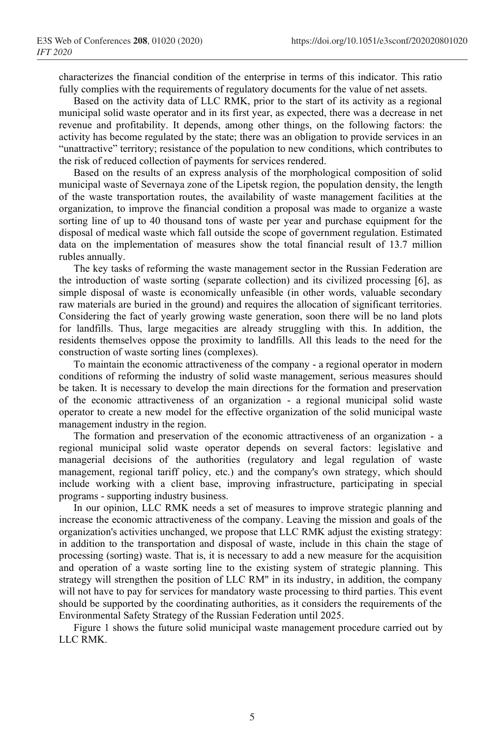characterizes the financial condition of the enterprise in terms of this indicator. This ratio fully complies with the requirements of regulatory documents for the value of net assets.

Based on the activity data of LLC RMK, prior to the start of its activity as a regional municipal solid waste operator and in its first year, as expected, there was a decrease in net revenue and profitability. It depends, among other things, on the following factors: the activity has become regulated by the state; there was an obligation to provide services in an "unattractive" territory; resistance of the population to new conditions, which contributes to the risk of reduced collection of payments for services rendered.

Based on the results of an express analysis of the morphological composition of solid municipal waste of Severnaya zone of the Lipetsk region, the population density, the length of the waste transportation routes, the availability of waste management facilities at the organization, to improve the financial condition a proposal was made to organize a waste sorting line of up to 40 thousand tons of waste per year and purchase equipment for the disposal of medical waste which fall outside the scope of government regulation. Estimated data on the implementation of measures show the total financial result of 13.7 million rubles annually.

The key tasks of reforming the waste management sector in the Russian Federation are the introduction of waste sorting (separate collection) and its civilized processing [6], as simple disposal of waste is economically unfeasible (in other words, valuable secondary raw materials are buried in the ground) and requires the allocation of significant territories. Considering the fact of yearly growing waste generation, soon there will be no land plots for landfills. Thus, large megacities are already struggling with this. In addition, the residents themselves oppose the proximity to landfills. All this leads to the need for the construction of waste sorting lines (complexes).

To maintain the economic attractiveness of the company - a regional operator in modern conditions of reforming the industry of solid waste management, serious measures should be taken. It is necessary to develop the main directions for the formation and preservation of the economic attractiveness of an organization - a regional municipal solid waste operator to create a new model for the effective organization of the solid municipal waste management industry in the region.

The formation and preservation of the economic attractiveness of an organization - a regional municipal solid waste operator depends on several factors: legislative and managerial decisions of the authorities (regulatory and legal regulation of waste management, regional tariff policy, etc.) and the company's own strategy, which should include working with a client base, improving infrastructure, participating in special programs - supporting industry business.

In our opinion, LLC RMK needs a set of measures to improve strategic planning and increase the economic attractiveness of the company. Leaving the mission and goals of the organization's activities unchanged, we propose that LLC RMK adjust the existing strategy: in addition to the transportation and disposal of waste, include in this chain the stage of processing (sorting) waste. That is, it is necessary to add a new measure for the acquisition and operation of a waste sorting line to the existing system of strategic planning. This strategy will strengthen the position of LLC RM" in its industry, in addition, the company will not have to pay for services for mandatory waste processing to third parties. This event should be supported by the coordinating authorities, as it considers the requirements of the Environmental Safety Strategy of the Russian Federation until 2025.

Figure 1 shows the future solid municipal waste management procedure carried out by LLC RMK.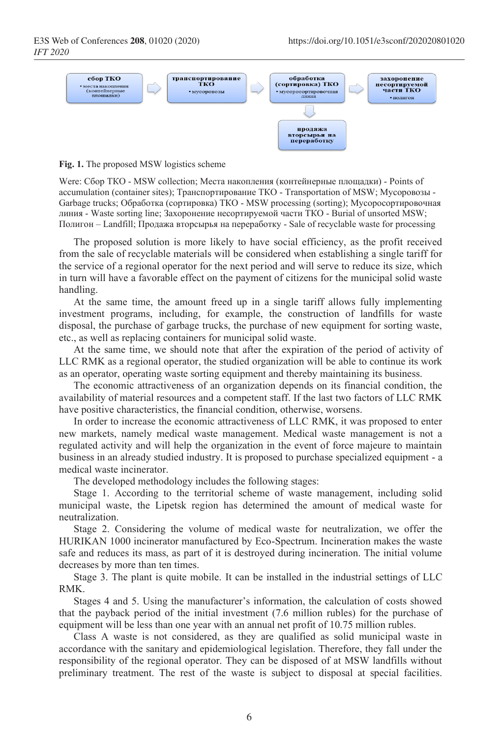

**Fig. 1.** The proposed MSW logistics scheme

Were: Сбор ТКО - MSW collection; Места накопления (контейнерные площадки) - Points of accumulation (container sites); Транспортирование ТКО - Transportation of MSW; Мусоровозы - Garbage trucks; Обработка (сортировка) ТКО - MSW processing (sorting); Мусоросортировочная линия - Waste sorting line; Захоронение несортируемой части ТКО - Burial of unsorted MSW; Полигон – Landfill; Продажа вторсырья на переработку - Sale of recyclable waste for processing

The proposed solution is more likely to have social efficiency, as the profit received from the sale of recyclable materials will be considered when establishing a single tariff for the service of a regional operator for the next period and will serve to reduce its size, which in turn will have a favorable effect on the payment of citizens for the municipal solid waste handling.

At the same time, the amount freed up in a single tariff allows fully implementing investment programs, including, for example, the construction of landfills for waste disposal, the purchase of garbage trucks, the purchase of new equipment for sorting waste, etc., as well as replacing containers for municipal solid waste.

At the same time, we should note that after the expiration of the period of activity of LLC RMK as a regional operator, the studied organization will be able to continue its work as an operator, operating waste sorting equipment and thereby maintaining its business.

The economic attractiveness of an organization depends on its financial condition, the availability of material resources and a competent staff. If the last two factors of LLC RMK have positive characteristics, the financial condition, otherwise, worsens.

In order to increase the economic attractiveness of LLC RMK, it was proposed to enter new markets, namely medical waste management. Medical waste management is not a regulated activity and will help the organization in the event of force majeure to maintain business in an already studied industry. It is proposed to purchase specialized equipment - a medical waste incinerator.

The developed methodology includes the following stages:

Stage 1. According to the territorial scheme of waste management, including solid municipal waste, the Lipetsk region has determined the amount of medical waste for neutralization.

Stage 2. Considering the volume of medical waste for neutralization, we offer the HURIKAN 1000 incinerator manufactured by Eco-Spectrum. Incineration makes the waste safe and reduces its mass, as part of it is destroyed during incineration. The initial volume decreases by more than ten times.

Stage 3. The plant is quite mobile. It can be installed in the industrial settings of LLC RMK.

Stages 4 and 5. Using the manufacturer's information, the calculation of costs showed that the payback period of the initial investment (7.6 million rubles) for the purchase of equipment will be less than one year with an annual net profit of 10.75 million rubles.

Class A waste is not considered, as they are qualified as solid municipal waste in accordance with the sanitary and epidemiological legislation. Therefore, they fall under the responsibility of the regional operator. They can be disposed of at MSW landfills without preliminary treatment. The rest of the waste is subject to disposal at special facilities.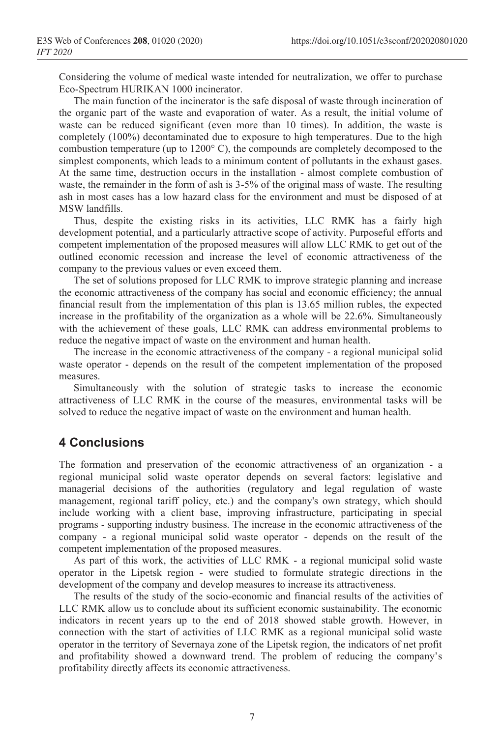Considering the volume of medical waste intended for neutralization, we offer to purchase Eco-Spectrum HURIKAN 1000 incinerator.

The main function of the incinerator is the safe disposal of waste through incineration of the organic part of the waste and evaporation of water. As a result, the initial volume of waste can be reduced significant (even more than 10 times). In addition, the waste is completely (100%) decontaminated due to exposure to high temperatures. Due to the high combustion temperature (up to  $1200^{\circ}$  C), the compounds are completely decomposed to the simplest components, which leads to a minimum content of pollutants in the exhaust gases. At the same time, destruction occurs in the installation - almost complete combustion of waste, the remainder in the form of ash is 3-5% of the original mass of waste. The resulting ash in most cases has a low hazard class for the environment and must be disposed of at MSW landfills.

Thus, despite the existing risks in its activities, LLC RMK has a fairly high development potential, and a particularly attractive scope of activity. Purposeful efforts and competent implementation of the proposed measures will allow LLC RMK to get out of the outlined economic recession and increase the level of economic attractiveness of the company to the previous values or even exceed them.

The set of solutions proposed for LLC RMK to improve strategic planning and increase the economic attractiveness of the company has social and economic efficiency; the annual financial result from the implementation of this plan is 13.65 million rubles, the expected increase in the profitability of the organization as a whole will be 22.6%. Simultaneously with the achievement of these goals, LLC RMK can address environmental problems to reduce the negative impact of waste on the environment and human health.

The increase in the economic attractiveness of the company - a regional municipal solid waste operator - depends on the result of the competent implementation of the proposed measures.

Simultaneously with the solution of strategic tasks to increase the economic attractiveness of LLC RMK in the course of the measures, environmental tasks will be solved to reduce the negative impact of waste on the environment and human health.

## **4 Conclusions**

The formation and preservation of the economic attractiveness of an organization - a regional municipal solid waste operator depends on several factors: legislative and managerial decisions of the authorities (regulatory and legal regulation of waste management, regional tariff policy, etc.) and the company's own strategy, which should include working with a client base, improving infrastructure, participating in special programs - supporting industry business. The increase in the economic attractiveness of the company - a regional municipal solid waste operator - depends on the result of the competent implementation of the proposed measures.

As part of this work, the activities of LLC RMK - a regional municipal solid waste operator in the Lipetsk region - were studied to formulate strategic directions in the development of the company and develop measures to increase its attractiveness.

The results of the study of the socio-economic and financial results of the activities of LLC RMK allow us to conclude about its sufficient economic sustainability. The economic indicators in recent years up to the end of 2018 showed stable growth. However, in connection with the start of activities of LLC RMK as a regional municipal solid waste operator in the territory of Severnaya zone of the Lipetsk region, the indicators of net profit and profitability showed a downward trend. The problem of reducing the company's profitability directly affects its economic attractiveness.